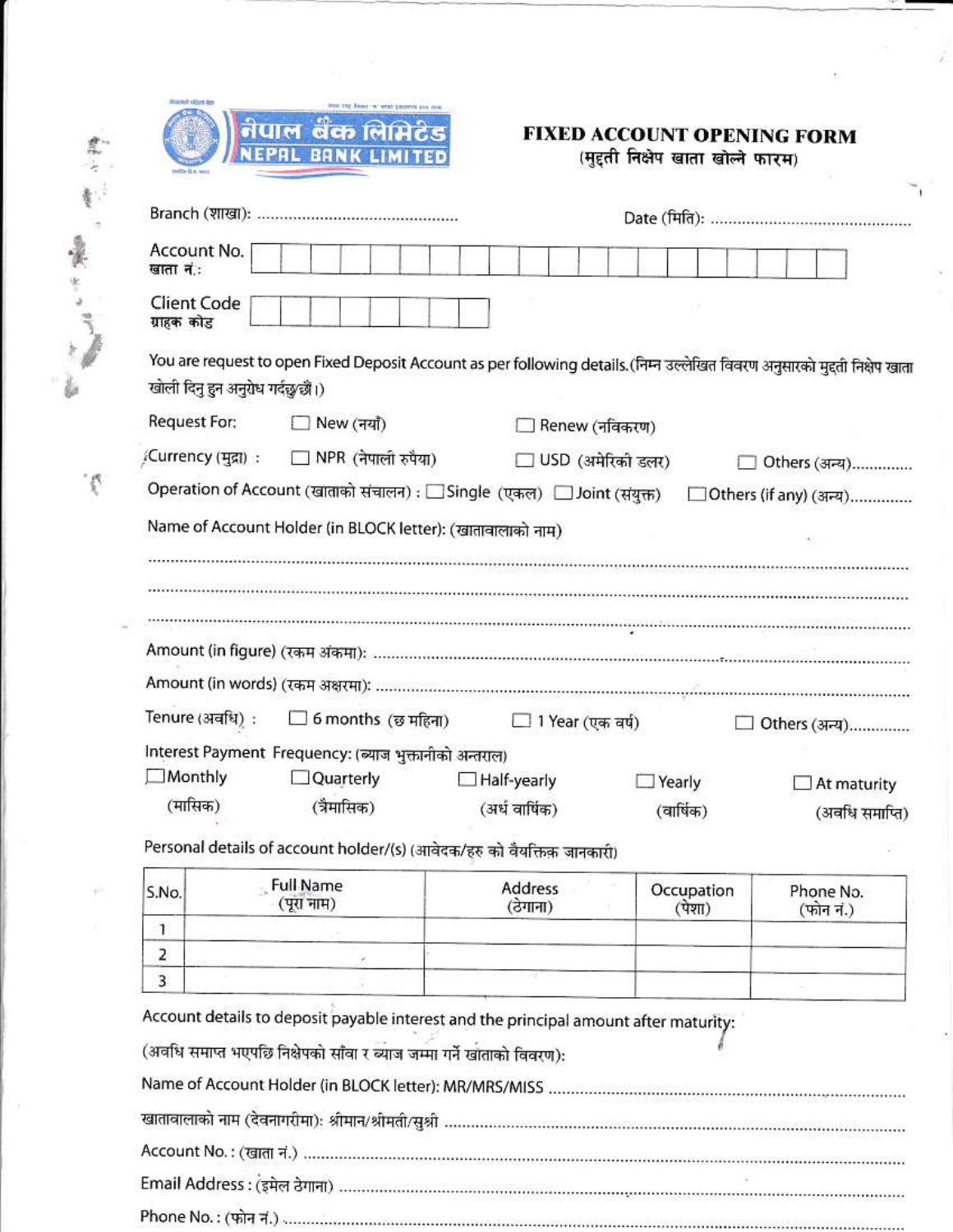| FOR THE BRANT W' with Exception and |  |                    |  |  |  |
|-------------------------------------|--|--------------------|--|--|--|
|                                     |  |                    |  |  |  |
|                                     |  | नेपाल बकालामेंटेड  |  |  |  |
|                                     |  |                    |  |  |  |
|                                     |  | NEPAL BANK LIMITED |  |  |  |
|                                     |  |                    |  |  |  |

震行警。

Article

## FIXED ACCOUNT OPENING FORM (मुद्दती निक्षेप खाता खोल्ने फारम)

| Branch (शाखा):                   |                                                                         |                     |                |                                                                                                                             |  |  |  |  |
|----------------------------------|-------------------------------------------------------------------------|---------------------|----------------|-----------------------------------------------------------------------------------------------------------------------------|--|--|--|--|
| Account No.<br>खाता नं:          |                                                                         |                     |                |                                                                                                                             |  |  |  |  |
| <b>Client Code</b><br>ग्राहक कोड |                                                                         |                     |                |                                                                                                                             |  |  |  |  |
| खोली दिनु हुन अनुरोध गर्दछ∕छौ।)  |                                                                         |                     |                | You are request to open Fixed Deposit Account as per following details. (निम्न उल्लेखित विवरण अनुसारको मुद्दती निक्षेप खाता |  |  |  |  |
| Request For:                     | $\Box$ New (नयाँ)                                                       |                     | Renew (नविकरण) |                                                                                                                             |  |  |  |  |
| , Currency (मुद्रा):             | $\Box$ NPR (नेपाली रुपैया)                                              | □ USD (अमेरिको डलर) |                | Others (अन्य)                                                                                                               |  |  |  |  |
|                                  | Operation of Account (खाताको संचालन) : □ Single (एकल) □ Joint (संयुक्त) |                     |                | _ Others (if any) (अन्य)                                                                                                    |  |  |  |  |
|                                  | Name of Account Holder (in BLOCK letter): (खातावालाको नाम)              |                     |                |                                                                                                                             |  |  |  |  |
|                                  |                                                                         |                     |                |                                                                                                                             |  |  |  |  |
|                                  |                                                                         |                     |                |                                                                                                                             |  |  |  |  |
|                                  |                                                                         |                     |                |                                                                                                                             |  |  |  |  |
| Tenure (अवधि):                   | $\Box$ 6 months (छ महिना) $\Box$ 1 Year (एक वर्ष)                       |                     |                | □ Others (अन्य)                                                                                                             |  |  |  |  |
|                                  | Interest Payment Frequency: (ब्याज भुक्तानीको अन्तराल)                  |                     |                |                                                                                                                             |  |  |  |  |
| Monthly                          | □Quarterly                                                              | Half-yearly         | Yearly         | At maturity                                                                                                                 |  |  |  |  |
| (मासिक)                          | (त्रैमासिक)                                                             | (अर्ध वार्षिक)      | (वार्षिक)      | (अवधि समाप्ति)                                                                                                              |  |  |  |  |

Personal details of account holder/(s) (आवेदक/हरु को वैयक्तिक जानकारी)

| S.No. | Full Name<br>(पूरा नाम) | Address<br>(ठेगाना) | Occupation<br>(पशा) | Phone No.<br>(फोन नं.) |
|-------|-------------------------|---------------------|---------------------|------------------------|
|       |                         |                     |                     |                        |
| -     |                         |                     |                     |                        |
|       |                         |                     |                     |                        |

Account details to deposit payable interest and the principal amount after maturity:

(अवधि समाप्त भएपछि निक्षेपको साँवा र ब्याज जम्मा गर्ने खाताको विवरण):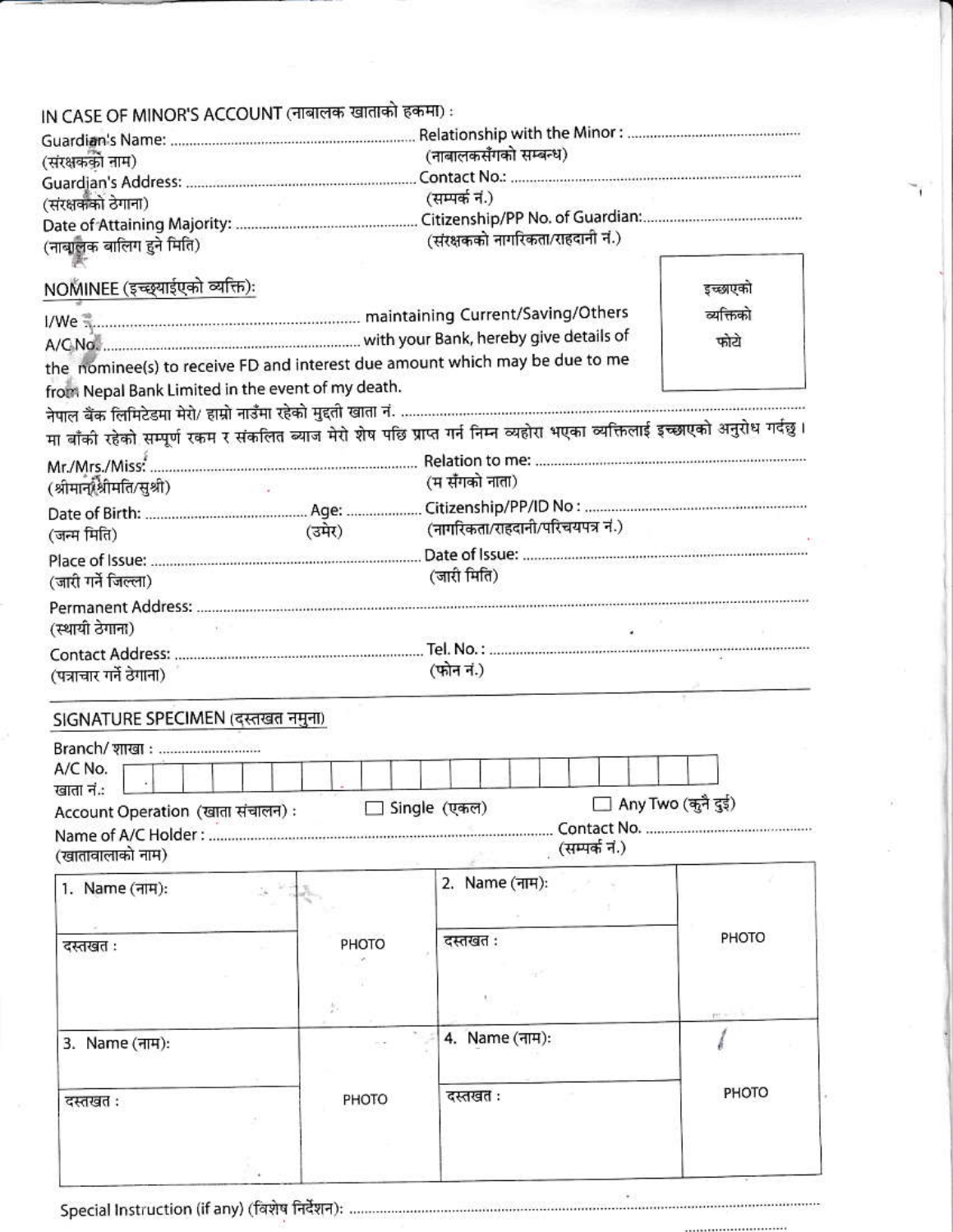| IN CASE OF MINOR'S ACCOUNT (नाबालक खाताको हकमा) :                                                                          |                      |        |       |                       |                                  |  |  |  |               |  |                      |       |
|----------------------------------------------------------------------------------------------------------------------------|----------------------|--------|-------|-----------------------|----------------------------------|--|--|--|---------------|--|----------------------|-------|
|                                                                                                                            |                      |        |       |                       |                                  |  |  |  |               |  |                      |       |
| (संरक्षकको नाम)                                                                                                            |                      |        |       | (नाबालकसँगको सम्बन्ध) |                                  |  |  |  |               |  |                      |       |
| (संरक्षकको ठेगाना)                                                                                                         |                      |        |       |                       |                                  |  |  |  |               |  |                      |       |
|                                                                                                                            |                      |        |       |                       | (सम्पर्क नं.)                    |  |  |  |               |  |                      |       |
|                                                                                                                            |                      |        |       |                       |                                  |  |  |  |               |  |                      |       |
| (नाबालक बालिग हुने मिति)                                                                                                   |                      |        |       |                       | (संरक्षकको नागरिकता/राहदानी नं.) |  |  |  |               |  |                      |       |
| NOMINEE (इच्छ्याईएको व्यक्ति):                                                                                             |                      |        |       |                       |                                  |  |  |  |               |  | इच्छाएको             |       |
| I/We measurement maintaining Current/Saving/Others                                                                         |                      |        |       |                       |                                  |  |  |  |               |  | व्यक्तिको            |       |
|                                                                                                                            |                      |        |       |                       |                                  |  |  |  |               |  | फोटो                 |       |
| the nominee(s) to receive FD and interest due amount which may be due to me                                                |                      |        |       |                       |                                  |  |  |  |               |  |                      |       |
| from Nepal Bank Limited in the event of my death.                                                                          |                      |        |       |                       |                                  |  |  |  |               |  |                      |       |
|                                                                                                                            |                      |        |       |                       |                                  |  |  |  |               |  |                      |       |
| मा बाँकी रहेको सम्पूर्ण रकम र संकलित ब्याज मेरो शेष पछि प्राप्त गर्न निम्न व्यहोरा भएका व्यक्तिलाई इच्छाएको अनुरोध गर्दछु। |                      |        |       |                       |                                  |  |  |  |               |  |                      |       |
|                                                                                                                            |                      |        |       |                       |                                  |  |  |  |               |  |                      |       |
|                                                                                                                            |                      |        |       |                       | (म सँगको नाता)                   |  |  |  |               |  |                      |       |
| (श्रीमान् श्रीमति/सूश्री)                                                                                                  | <b>Service State</b> |        |       |                       |                                  |  |  |  |               |  |                      |       |
|                                                                                                                            |                      |        |       |                       |                                  |  |  |  |               |  |                      |       |
| (जन्म मिति)                                                                                                                |                      | (उमेर) |       |                       | (नागरिकता/राहदानी/परिचयपत्र नं.) |  |  |  |               |  |                      |       |
|                                                                                                                            |                      |        |       |                       |                                  |  |  |  |               |  |                      |       |
| (जारी गर्ने जिल्ला)                                                                                                        |                      |        |       |                       | (जारी मिति)                      |  |  |  |               |  |                      |       |
| (स्थायी ठेगाना)                                                                                                            |                      |        |       |                       |                                  |  |  |  |               |  |                      |       |
| (पत्राचार गर्ने ठेगाना)                                                                                                    |                      |        |       |                       | (फोन नं.)                        |  |  |  |               |  |                      |       |
| SIGNATURE SPECIMEN (दस्तखत नमुना)                                                                                          |                      |        |       |                       |                                  |  |  |  |               |  |                      |       |
| Branch/ शाखा :                                                                                                             |                      |        |       |                       |                                  |  |  |  |               |  |                      |       |
| A/C No.                                                                                                                    |                      |        |       |                       |                                  |  |  |  |               |  |                      |       |
| खाता नं.:                                                                                                                  |                      |        |       |                       |                                  |  |  |  |               |  |                      |       |
| Account Operation (खाता संचालन):                                                                                           |                      |        |       |                       | Single (एकल)                     |  |  |  |               |  | □ Any Two (कुनै दुई) |       |
|                                                                                                                            |                      |        |       |                       |                                  |  |  |  |               |  |                      |       |
| (खातावालाको नाम)                                                                                                           |                      |        |       |                       |                                  |  |  |  | (सम्पर्क नं.) |  |                      |       |
| 1. Name (नाम):                                                                                                             |                      |        |       |                       | 2. Name (नाम):                   |  |  |  |               |  |                      |       |
|                                                                                                                            |                      |        |       |                       |                                  |  |  |  |               |  |                      |       |
|                                                                                                                            |                      |        |       |                       |                                  |  |  |  |               |  |                      | PHOTO |
| दस्तखत :                                                                                                                   |                      | PHOTO  |       |                       | दस्तखत:                          |  |  |  |               |  |                      |       |
|                                                                                                                            |                      |        |       |                       |                                  |  |  |  |               |  |                      |       |
|                                                                                                                            |                      | 歩      |       |                       |                                  |  |  |  |               |  |                      |       |
|                                                                                                                            |                      |        |       |                       |                                  |  |  |  |               |  |                      |       |
| 3. Name (नाम):                                                                                                             |                      |        |       |                       | 4. Name (नाम):                   |  |  |  |               |  |                      |       |
|                                                                                                                            |                      |        |       |                       |                                  |  |  |  |               |  |                      |       |
|                                                                                                                            |                      |        |       |                       | दस्तखत:                          |  |  |  |               |  |                      | PHOTO |
| दस्तखत:                                                                                                                    |                      |        | PHOTO |                       |                                  |  |  |  |               |  |                      |       |
|                                                                                                                            |                      |        |       |                       |                                  |  |  |  |               |  |                      |       |
|                                                                                                                            |                      |        |       |                       |                                  |  |  |  |               |  |                      |       |
|                                                                                                                            |                      |        |       |                       |                                  |  |  |  |               |  |                      |       |